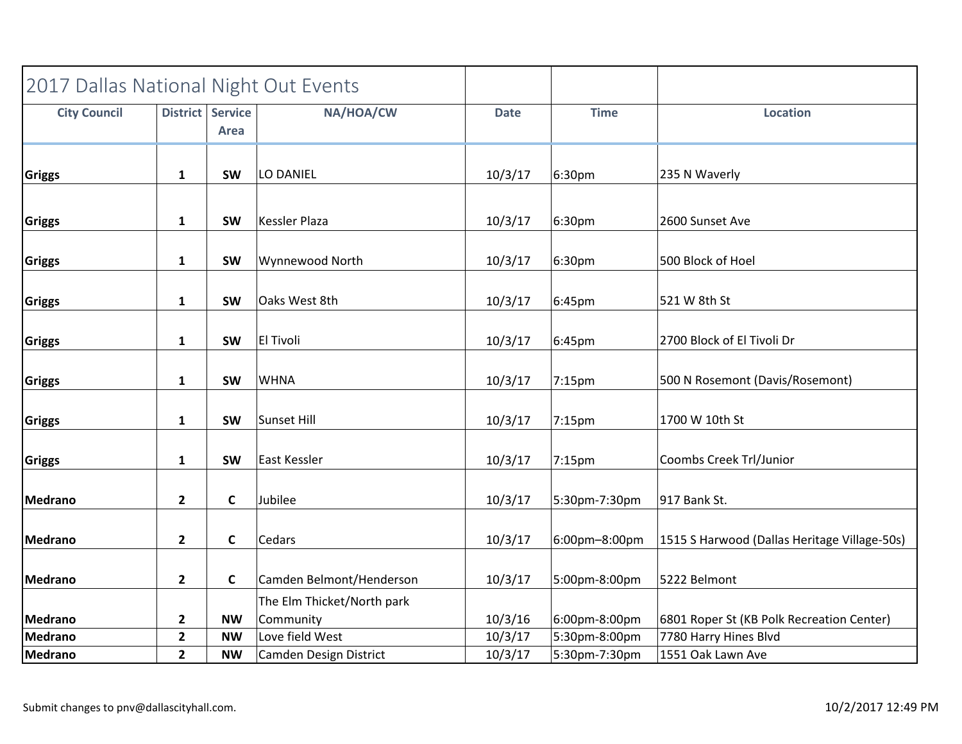| 2017 Dallas National Night Out Events |                  |              |                                         |             |                    |                                              |
|---------------------------------------|------------------|--------------|-----------------------------------------|-------------|--------------------|----------------------------------------------|
| <b>City Council</b>                   | District Service | Area         | NA/HOA/CW                               | <b>Date</b> | <b>Time</b>        | <b>Location</b>                              |
| <b>Griggs</b>                         | $\mathbf{1}$     | <b>SW</b>    | LO DANIEL                               | 10/3/17     | 6:30pm             | 235 N Waverly                                |
| Griggs                                | $\mathbf{1}$     | <b>SW</b>    | Kessler Plaza                           | 10/3/17     | 6:30pm             | 2600 Sunset Ave                              |
| <b>Griggs</b>                         | $\mathbf{1}$     | <b>SW</b>    | Wynnewood North                         | 10/3/17     | 6:30pm             | 500 Block of Hoel                            |
| Griggs                                | $\mathbf 1$      | <b>SW</b>    | Oaks West 8th                           | 10/3/17     | 6:45pm             | 521 W 8th St                                 |
| <b>Griggs</b>                         | $\mathbf{1}$     | <b>SW</b>    | <b>El Tivoli</b>                        | 10/3/17     | 6:45pm             | 2700 Block of El Tivoli Dr                   |
| <b>Griggs</b>                         | $\mathbf{1}$     | <b>SW</b>    | <b>WHNA</b>                             | 10/3/17     | 7:15 <sub>pm</sub> | 500 N Rosemont (Davis/Rosemont)              |
| <b>Griggs</b>                         | $\mathbf 1$      | <b>SW</b>    | Sunset Hill                             | 10/3/17     | 7:15pm             | 1700 W 10th St                               |
| <b>Griggs</b>                         | $\mathbf{1}$     | <b>SW</b>    | East Kessler                            | 10/3/17     | 7:15pm             | Coombs Creek Trl/Junior                      |
| Medrano                               | $\overline{2}$   | $\mathsf{C}$ | Jubilee                                 | 10/3/17     | 5:30pm-7:30pm      | 917 Bank St.                                 |
| Medrano                               | $\mathbf{2}$     | $\mathsf{C}$ | Cedars                                  | 10/3/17     | 6:00pm-8:00pm      | 1515 S Harwood (Dallas Heritage Village-50s) |
| Medrano                               | $\overline{2}$   | C            | Camden Belmont/Henderson                | 10/3/17     | 5:00pm-8:00pm      | 5222 Belmont                                 |
| Medrano                               | $\overline{2}$   | <b>NW</b>    | The Elm Thicket/North park<br>Community | 10/3/16     | 6:00pm-8:00pm      | 6801 Roper St (KB Polk Recreation Center)    |
| Medrano                               | $\overline{2}$   | <b>NW</b>    | Love field West                         | 10/3/17     | 5:30pm-8:00pm      | 7780 Harry Hines Blvd                        |
| Medrano                               | $\mathbf{2}$     | <b>NW</b>    | Camden Design District                  | 10/3/17     | 5:30pm-7:30pm      | 1551 Oak Lawn Ave                            |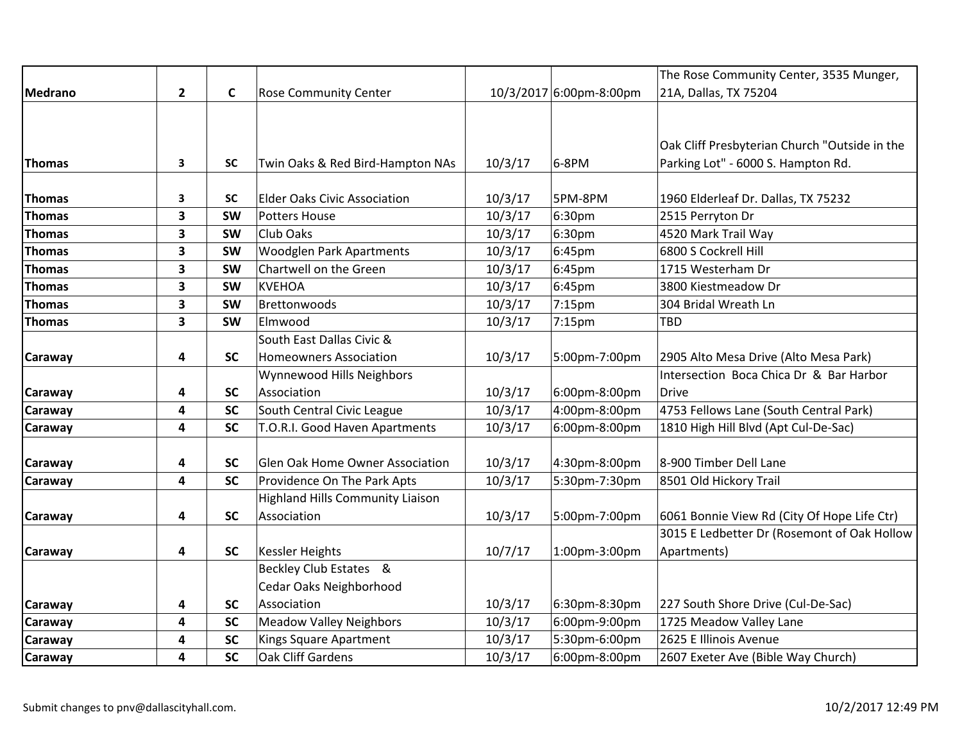|                |           |                                         |                                  |                    | The Rose Community Center, 3535 Munger,       |
|----------------|-----------|-----------------------------------------|----------------------------------|--------------------|-----------------------------------------------|
| $\overline{2}$ | C         | <b>Rose Community Center</b>            |                                  |                    | 21A, Dallas, TX 75204                         |
|                |           |                                         |                                  |                    |                                               |
|                |           |                                         |                                  |                    |                                               |
|                |           |                                         |                                  |                    | Oak Cliff Presbyterian Church "Outside in the |
| 3              | <b>SC</b> |                                         |                                  |                    | Parking Lot" - 6000 S. Hampton Rd.            |
|                |           |                                         |                                  |                    |                                               |
| 3              | <b>SC</b> | <b>Elder Oaks Civic Association</b>     |                                  | 5PM-8PM            | 1960 Elderleaf Dr. Dallas, TX 75232           |
| 3              | <b>SW</b> | Potters House                           | 10/3/17                          | 6:30pm             | 2515 Perryton Dr                              |
| 3              | <b>SW</b> | Club Oaks                               | 10/3/17                          | 6:30 <sub>pm</sub> | 4520 Mark Trail Way                           |
| 3              | <b>SW</b> | <b>Woodglen Park Apartments</b>         | 10/3/17                          | 6:45pm             | 6800 S Cockrell Hill                          |
| 3              | <b>SW</b> | Chartwell on the Green                  | 10/3/17                          | 6:45pm             | 1715 Westerham Dr                             |
| 3              | <b>SW</b> | KVEHOA                                  | 10/3/17                          | 6:45pm             | 3800 Kiestmeadow Dr                           |
| 3              | <b>SW</b> | Brettonwoods                            | 10/3/17                          | 7:15pm             | 304 Bridal Wreath Ln                          |
| 3              | <b>SW</b> | Elmwood                                 | 10/3/17                          | 7:15pm             | TBD                                           |
|                |           | South East Dallas Civic &               |                                  |                    |                                               |
| 4              | <b>SC</b> | Homeowners Association                  | 10/3/17                          | 5:00pm-7:00pm      | 2905 Alto Mesa Drive (Alto Mesa Park)         |
|                |           | Wynnewood Hills Neighbors               |                                  |                    | Intersection Boca Chica Dr & Bar Harbor       |
| 4              | <b>SC</b> | Association                             | 10/3/17                          | 6:00pm-8:00pm      | <b>Drive</b>                                  |
| 4              | <b>SC</b> | South Central Civic League              | 10/3/17                          | 4:00pm-8:00pm      | 4753 Fellows Lane (South Central Park)        |
| 4              | <b>SC</b> | T.O.R.I. Good Haven Apartments          | 10/3/17                          | 6:00pm-8:00pm      | 1810 High Hill Blvd (Apt Cul-De-Sac)          |
|                |           |                                         |                                  |                    |                                               |
| 4              | <b>SC</b> | Glen Oak Home Owner Association         | 10/3/17                          | 4:30pm-8:00pm      | 8-900 Timber Dell Lane                        |
| 4              | <b>SC</b> | Providence On The Park Apts             | 10/3/17                          | 5:30pm-7:30pm      | 8501 Old Hickory Trail                        |
|                |           | <b>Highland Hills Community Liaison</b> |                                  |                    |                                               |
| 4              | <b>SC</b> | Association                             | 10/3/17                          | 5:00pm-7:00pm      | 6061 Bonnie View Rd (City Of Hope Life Ctr)   |
|                |           |                                         |                                  |                    | 3015 E Ledbetter Dr (Rosemont of Oak Hollow   |
| 4              | <b>SC</b> | Kessler Heights                         | 10/7/17                          | 1:00pm-3:00pm      | Apartments)                                   |
|                |           | Beckley Club Estates &                  |                                  |                    |                                               |
|                |           | Cedar Oaks Neighborhood                 |                                  |                    |                                               |
| 4              | <b>SC</b> | Association                             | 10/3/17                          | 6:30pm-8:30pm      | 227 South Shore Drive (Cul-De-Sac)            |
| 4              | <b>SC</b> | <b>Meadow Valley Neighbors</b>          | 10/3/17                          | 6:00pm-9:00pm      | 1725 Meadow Valley Lane                       |
| 4              | <b>SC</b> | Kings Square Apartment                  | 10/3/17                          | 5:30pm-6:00pm      | 2625 E Illinois Avenue                        |
| 4              | <b>SC</b> | Oak Cliff Gardens                       | 10/3/17                          | 6:00pm-8:00pm      | 2607 Exeter Ave (Bible Way Church)            |
|                |           |                                         | Twin Oaks & Red Bird-Hampton NAs | 10/3/17<br>10/3/17 | 10/3/2017 6:00pm-8:00pm<br>6-8PM              |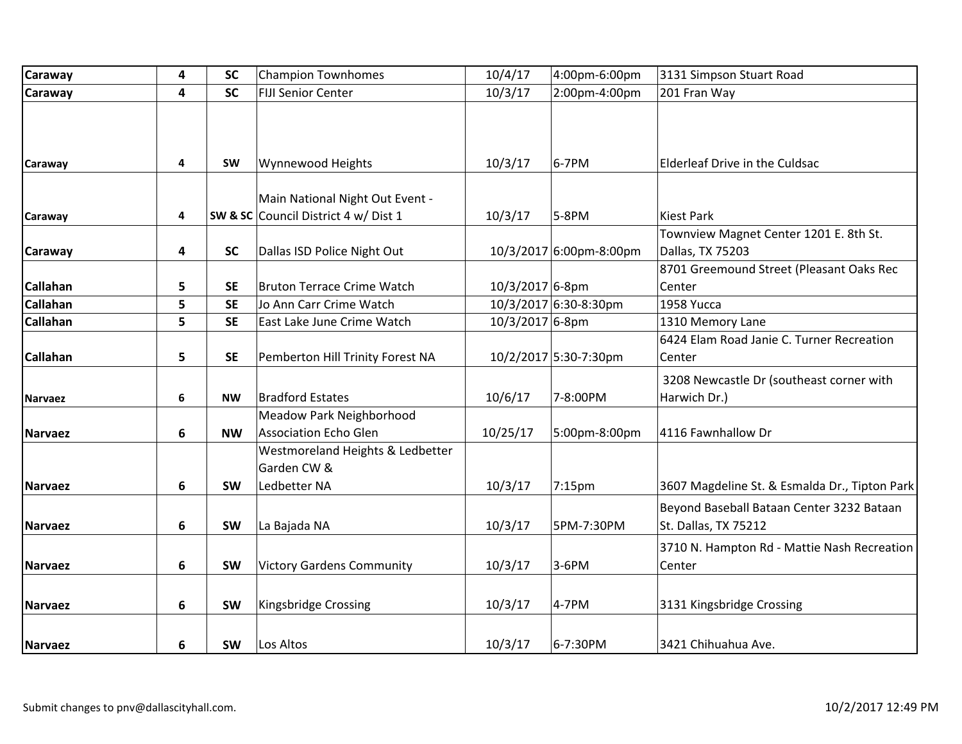| <b>Caraway</b>  | 4 | <b>SC</b> | <b>Champion Townhomes</b>                                       | 10/4/17         | 4:00pm-6:00pm           | 3131 Simpson Stuart Road                                          |
|-----------------|---|-----------|-----------------------------------------------------------------|-----------------|-------------------------|-------------------------------------------------------------------|
| <b>Caraway</b>  | 4 | <b>SC</b> | <b>FIJI Senior Center</b>                                       | 10/3/17         | 2:00pm-4:00pm           | 201 Fran Way                                                      |
|                 |   |           |                                                                 |                 |                         |                                                                   |
| Caraway         | 4 | <b>SW</b> | Wynnewood Heights                                               | 10/3/17         | 6-7PM                   | Elderleaf Drive in the Culdsac                                    |
|                 |   |           | Main National Night Out Event -                                 |                 |                         |                                                                   |
| Caraway         | 4 |           | SW & SC Council District 4 w/ Dist 1                            | 10/3/17         | 5-8PM                   | <b>Kiest Park</b>                                                 |
| <b>Caraway</b>  | 4 | <b>SC</b> | Dallas ISD Police Night Out                                     |                 | 10/3/2017 6:00pm-8:00pm | Townview Magnet Center 1201 E. 8th St.<br>Dallas, TX 75203        |
| <b>Callahan</b> | 5 | <b>SE</b> | <b>Bruton Terrace Crime Watch</b>                               | 10/3/2017 6-8pm |                         | 8701 Greemound Street (Pleasant Oaks Rec<br>Center                |
| <b>Callahan</b> | 5 | <b>SE</b> | Jo Ann Carr Crime Watch                                         |                 | 10/3/2017 6:30-8:30pm   | 1958 Yucca                                                        |
| <b>Callahan</b> | 5 | <b>SE</b> | East Lake June Crime Watch                                      | 10/3/2017 6-8pm |                         | 1310 Memory Lane                                                  |
| <b>Callahan</b> | 5 | <b>SE</b> | Pemberton Hill Trinity Forest NA                                |                 | 10/2/2017 5:30-7:30pm   | 6424 Elam Road Janie C. Turner Recreation<br>Center               |
| Narvaez         | 6 | <b>NW</b> | <b>Bradford Estates</b>                                         | 10/6/17         | 7-8:00PM                | 3208 Newcastle Dr (southeast corner with<br>Harwich Dr.)          |
| Narvaez         | 6 | <b>NW</b> | Meadow Park Neighborhood<br>Association Echo Glen               | 10/25/17        | 5:00pm-8:00pm           | 4116 Fawnhallow Dr                                                |
| Narvaez         | 6 | <b>SW</b> | Westmoreland Heights & Ledbetter<br>Garden CW &<br>Ledbetter NA | 10/3/17         | 7:15pm                  | 3607 Magdeline St. & Esmalda Dr., Tipton Park                     |
| Narvaez         | 6 | <b>SW</b> | La Bajada NA                                                    | 10/3/17         | 5PM-7:30PM              | Beyond Baseball Bataan Center 3232 Bataan<br>St. Dallas, TX 75212 |
| Narvaez         | 6 | <b>SW</b> | <b>Victory Gardens Community</b>                                | 10/3/17         | 3-6PM                   | 3710 N. Hampton Rd - Mattie Nash Recreation<br>Center             |
| Narvaez         | 6 | <b>SW</b> | Kingsbridge Crossing                                            | 10/3/17         | 4-7PM                   | 3131 Kingsbridge Crossing                                         |
| Narvaez         | 6 | <b>SW</b> | Los Altos                                                       | 10/3/17         | 6-7:30PM                | 3421 Chihuahua Ave.                                               |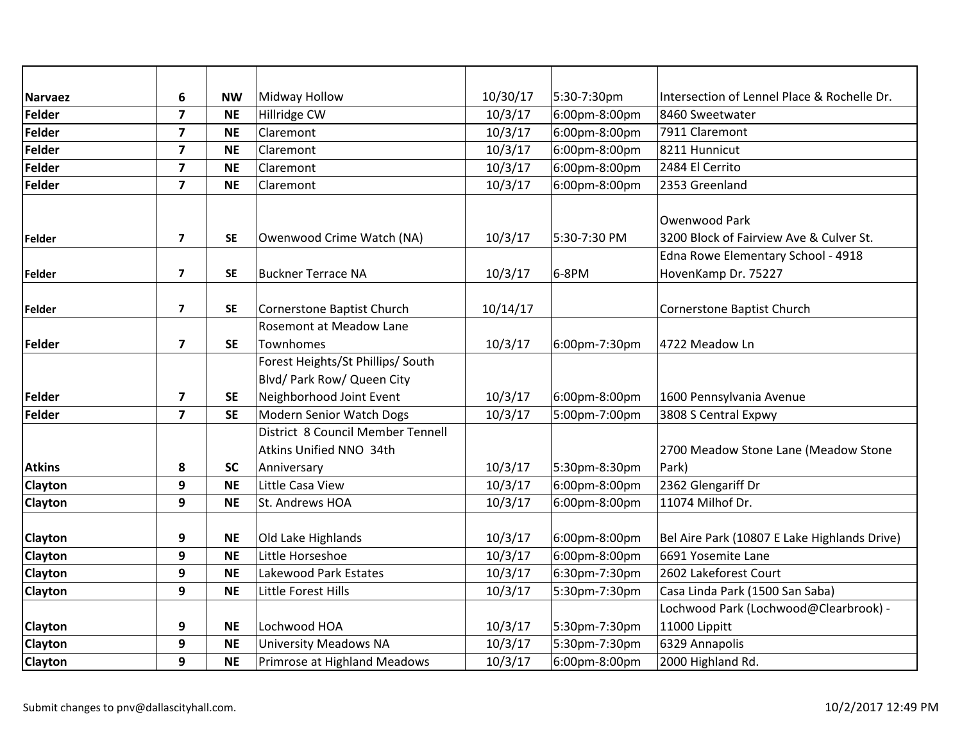| <b>Narvaez</b> | 6                       | <b>NW</b> | Midway Hollow                     | 10/30/17 | 5:30-7:30pm   | Intersection of Lennel Place & Rochelle Dr.  |
|----------------|-------------------------|-----------|-----------------------------------|----------|---------------|----------------------------------------------|
| Felder         | $\overline{\mathbf{z}}$ | <b>NE</b> | Hillridge CW                      | 10/3/17  | 6:00pm-8:00pm | 8460 Sweetwater                              |
| Felder         | 7                       | <b>NE</b> | Claremont                         | 10/3/17  | 6:00pm-8:00pm | 7911 Claremont                               |
| Felder         | 7                       | <b>NE</b> | Claremont                         | 10/3/17  | 6:00pm-8:00pm | 8211 Hunnicut                                |
| Felder         | $\overline{7}$          | <b>NE</b> | Claremont                         | 10/3/17  | 6:00pm-8:00pm | 2484 El Cerrito                              |
| Felder         | $\overline{7}$          | <b>NE</b> | Claremont                         | 10/3/17  | 6:00pm-8:00pm | 2353 Greenland                               |
|                |                         |           |                                   |          |               |                                              |
|                |                         |           |                                   |          |               | Owenwood Park                                |
| Felder         | $\overline{\mathbf{z}}$ | <b>SE</b> | Owenwood Crime Watch (NA)         | 10/3/17  | 5:30-7:30 PM  | 3200 Block of Fairview Ave & Culver St.      |
|                |                         |           |                                   |          |               | Edna Rowe Elementary School - 4918           |
| <b>Felder</b>  | $\overline{\mathbf{z}}$ | <b>SE</b> | <b>Buckner Terrace NA</b>         | 10/3/17  | 6-8PM         | HovenKamp Dr. 75227                          |
| Felder         | $\overline{\mathbf{z}}$ | <b>SE</b> | Cornerstone Baptist Church        | 10/14/17 |               | Cornerstone Baptist Church                   |
|                |                         |           | <b>Rosemont at Meadow Lane</b>    |          |               |                                              |
| Felder         | $\overline{\mathbf{z}}$ | <b>SE</b> | Townhomes                         | 10/3/17  | 6:00pm-7:30pm | 4722 Meadow Ln                               |
|                |                         |           | Forest Heights/St Phillips/ South |          |               |                                              |
|                |                         |           | Blvd/ Park Row/ Queen City        |          |               |                                              |
| Felder         | $\overline{\mathbf{z}}$ | <b>SE</b> | Neighborhood Joint Event          | 10/3/17  | 6:00pm-8:00pm | 1600 Pennsylvania Avenue                     |
| Felder         | $\overline{7}$          | <b>SE</b> | Modern Senior Watch Dogs          | 10/3/17  | 5:00pm-7:00pm | 3808 S Central Expwy                         |
|                |                         |           | District 8 Council Member Tennell |          |               |                                              |
|                |                         |           | Atkins Unified NNO 34th           |          |               | 2700 Meadow Stone Lane (Meadow Stone         |
| <b>Atkins</b>  | 8                       | <b>SC</b> | Anniversary                       | 10/3/17  | 5:30pm-8:30pm | Park)                                        |
| <b>Clayton</b> | 9                       | <b>NE</b> | Little Casa View                  | 10/3/17  | 6:00pm-8:00pm | 2362 Glengariff Dr                           |
| <b>Clayton</b> | 9                       | <b>NE</b> | St. Andrews HOA                   | 10/3/17  | 6:00pm-8:00pm | 11074 Milhof Dr.                             |
|                |                         |           |                                   |          |               |                                              |
| <b>Clayton</b> | 9                       | <b>NE</b> | Old Lake Highlands                | 10/3/17  | 6:00pm-8:00pm | Bel Aire Park (10807 E Lake Highlands Drive) |
| <b>Clayton</b> | 9                       | $N\!\!E$  | Little Horseshoe                  | 10/3/17  | 6:00pm-8:00pm | 6691 Yosemite Lane                           |
| <b>Clayton</b> | 9                       | <b>NE</b> | Lakewood Park Estates             | 10/3/17  | 6:30pm-7:30pm | 2602 Lakeforest Court                        |
| <b>Clayton</b> | 9                       | <b>NE</b> | Little Forest Hills               | 10/3/17  | 5:30pm-7:30pm | Casa Linda Park (1500 San Saba)              |
|                |                         |           |                                   |          |               | Lochwood Park (Lochwood@Clearbrook) -        |
| <b>Clayton</b> | 9                       | <b>NE</b> | Lochwood HOA                      | 10/3/17  | 5:30pm-7:30pm | 11000 Lippitt                                |
| <b>Clayton</b> | 9                       | <b>NE</b> | <b>University Meadows NA</b>      | 10/3/17  | 5:30pm-7:30pm | 6329 Annapolis                               |
| Clayton        | 9                       | <b>NE</b> | Primrose at Highland Meadows      | 10/3/17  | 6:00pm-8:00pm | 2000 Highland Rd.                            |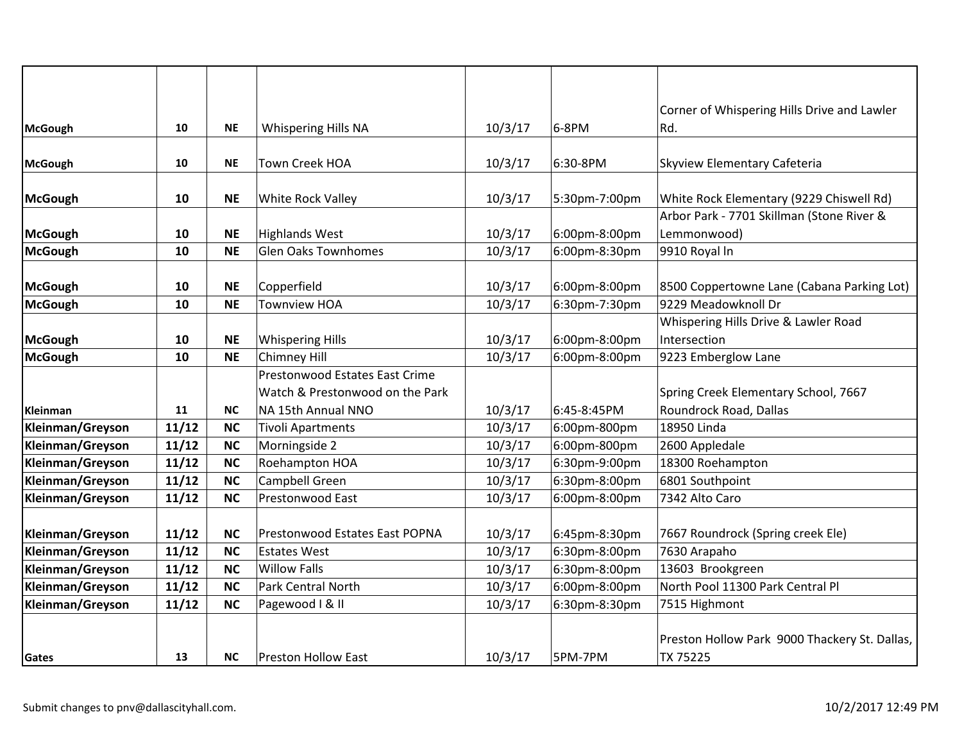|                  |       |           |                                 |         |               | Corner of Whispering Hills Drive and Lawler   |
|------------------|-------|-----------|---------------------------------|---------|---------------|-----------------------------------------------|
| McGough          | 10    | <b>NE</b> | Whispering Hills NA             | 10/3/17 | 6-8PM         | Rd.                                           |
|                  |       |           |                                 |         |               |                                               |
| McGough          | 10    | <b>NE</b> | Town Creek HOA                  | 10/3/17 | 6:30-8PM      | Skyview Elementary Cafeteria                  |
|                  |       |           |                                 |         |               |                                               |
| McGough          | 10    | <b>NE</b> | White Rock Valley               | 10/3/17 | 5:30pm-7:00pm | White Rock Elementary (9229 Chiswell Rd)      |
|                  |       |           |                                 |         |               | Arbor Park - 7701 Skillman (Stone River &     |
| McGough          | 10    | <b>NE</b> | <b>Highlands West</b>           | 10/3/17 | 6:00pm-8:00pm | Lemmonwood)                                   |
| McGough          | 10    | <b>NE</b> | <b>Glen Oaks Townhomes</b>      | 10/3/17 | 6:00pm-8:30pm | 9910 Royal In                                 |
|                  |       |           |                                 |         |               |                                               |
| McGough          | 10    | <b>NE</b> | Copperfield                     | 10/3/17 | 6:00pm-8:00pm | 8500 Coppertowne Lane (Cabana Parking Lot)    |
| McGough          | 10    | <b>NE</b> | <b>Townview HOA</b>             | 10/3/17 | 6:30pm-7:30pm | 9229 Meadowknoll Dr                           |
|                  |       |           |                                 |         |               | Whispering Hills Drive & Lawler Road          |
| McGough          | 10    | <b>NE</b> | <b>Whispering Hills</b>         | 10/3/17 | 6:00pm-8:00pm | Intersection                                  |
| McGough          | 10    | <b>NE</b> | <b>Chimney Hill</b>             | 10/3/17 | 6:00pm-8:00pm | 9223 Emberglow Lane                           |
|                  |       |           | Prestonwood Estates East Crime  |         |               |                                               |
|                  |       |           | Watch & Prestonwood on the Park |         |               | Spring Creek Elementary School, 7667          |
| Kleinman         | 11    | <b>NC</b> | NA 15th Annual NNO              | 10/3/17 | 6:45-8:45PM   | Roundrock Road, Dallas                        |
| Kleinman/Greyson | 11/12 | <b>NC</b> | <b>Tivoli Apartments</b>        | 10/3/17 | 6:00pm-800pm  | 18950 Linda                                   |
| Kleinman/Greyson | 11/12 | <b>NC</b> | Morningside 2                   | 10/3/17 | 6:00pm-800pm  | 2600 Appledale                                |
| Kleinman/Greyson | 11/12 | <b>NC</b> | Roehampton HOA                  | 10/3/17 | 6:30pm-9:00pm | 18300 Roehampton                              |
| Kleinman/Greyson | 11/12 | <b>NC</b> | Campbell Green                  | 10/3/17 | 6:30pm-8:00pm | 6801 Southpoint                               |
| Kleinman/Greyson | 11/12 | <b>NC</b> | Prestonwood East                | 10/3/17 | 6:00pm-8:00pm | 7342 Alto Caro                                |
|                  |       |           |                                 |         |               |                                               |
| Kleinman/Greyson | 11/12 | <b>NC</b> | Prestonwood Estates East POPNA  | 10/3/17 | 6:45pm-8:30pm | 7667 Roundrock (Spring creek Ele)             |
| Kleinman/Greyson | 11/12 | <b>NC</b> | <b>Estates West</b>             | 10/3/17 | 6:30pm-8:00pm | 7630 Arapaho                                  |
| Kleinman/Greyson | 11/12 | <b>NC</b> | <b>Willow Falls</b>             | 10/3/17 | 6:30pm-8:00pm | 13603 Brookgreen                              |
| Kleinman/Greyson | 11/12 | <b>NC</b> | <b>Park Central North</b>       | 10/3/17 | 6:00pm-8:00pm | North Pool 11300 Park Central Pl              |
| Kleinman/Greyson | 11/12 | <b>NC</b> | Pagewood   & II                 | 10/3/17 | 6:30pm-8:30pm | 7515 Highmont                                 |
|                  |       |           |                                 |         |               |                                               |
|                  |       |           |                                 |         |               | Preston Hollow Park 9000 Thackery St. Dallas, |
| Gates            | 13    | <b>NC</b> | <b>Preston Hollow East</b>      | 10/3/17 | 5PM-7PM       | TX 75225                                      |